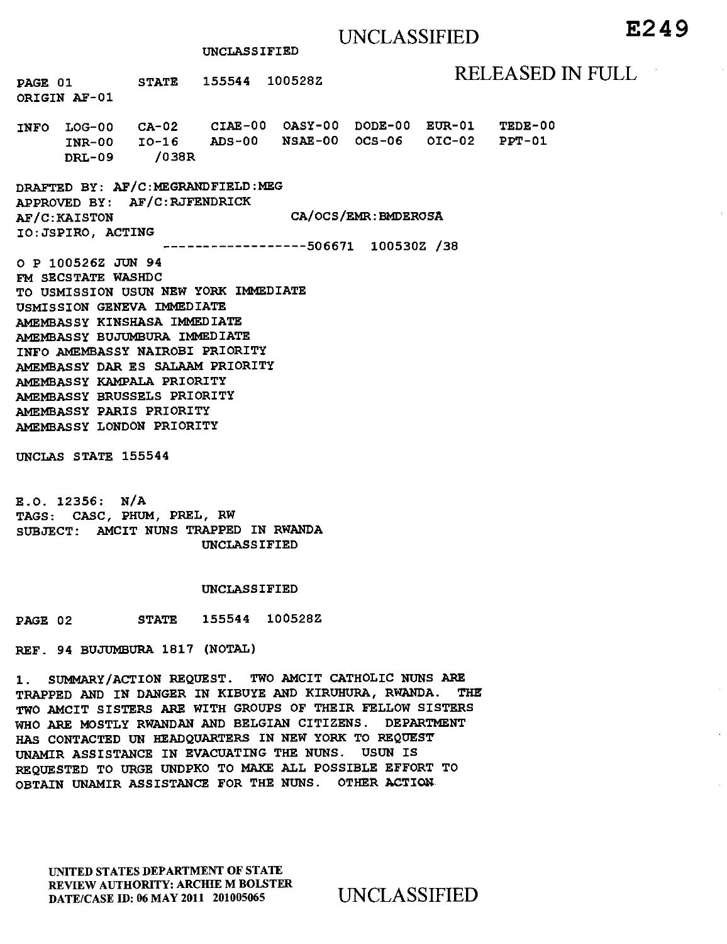# UNCLASSIFIED **E2 4 9**

**UNCLASSIFIED** 

**PAGE 01** STATE 155544 100528Z RELEASED IN FULL

**INFO LOG-00 CA-02 CIAE-00 OASY-00 DODE-00 EUR-01 TEDE-00 INR-00 10-16 ADS-00 NSAE-00 OCS-06 OIC-02 DRL-09 /038R** 

**DRAFTED BY: AF/C:MEGRANDFIELD:MEG APPROVED BY: AF/C:RJFENDRICK AF/C:KAISTON IO:JSPIRO, ACTING CA/OCS/EMR:BMDEROSA 506671 100530Z /38** 

**O P 100526Z JUN 94 FM SECSTATE WASHDC TO USMISSION USUN NEW YORK IMMEDIATE USMISSION GENEVA IMMEDIATE AMEMBASSY KINSHASA IMMEDIATE AMEMBASSY BUJUMBURA IMMEDIATE INFO AMEMBASSY NAIROBI PRIORITY AMEMBASSY DAR ES SALAAM PRIORITY AMEMBASSY KAMPALA PRIORITY AMEMBASSY BRUSSELS PRIORITY AMEMBASSY PARIS PRIORITY AMEMBASSY LONDON PRIORITY** 

**UNCLAS STATE 155544** 

**ORIGIN AF-01** 

**E.O. 12356: N/A TAGS: CASC, PHUM, PREL, RW SUBJECT: AMCIT NUNS TRAPPED IN RWANDA UNCLASSIFIED** 

#### **UNCLASSIFIED**

**PAGE 02 STATE 155544 100528Z** 

**REF. 94 BUJUMBURA 1817 (NOTAL)** 

**1. SUMMARY/ACTION REQUEST. TWO AMCIT CATHOLIC NUNS ARE TRAPPED AND IN DANGER IN KIBUYE AND KIRUHURA, RWANDA. THE TWO AMCIT SISTERS ARE WITH GROUPS OF THEIR FELLOW SISTERS WHO ARE MOSTLY RWANDAN AND BELGIAN CITIZENS. DEPARTMENT HAS CONTACTED UN HEADQUARTERS IN NEW YORK TO REQUEST UNAMIR ASSISTANCE IN EVACUATING THE** NUNS. **USUN IS REQUESTED TO URGE UNDPKO TO MAKE ALL POSSIBLE EFFORT TO OBTAIN UNAMIR ASSISTANCE FOR THE NUNS. OTHER ACTION** 

UNITED STATES DEPARTMENT OF STATE REVIEW AUTHORITY: ARCHIE M BOLSTER DATE/CASE ID: 06 MAY 2011 201005065 UNCLASSIFIED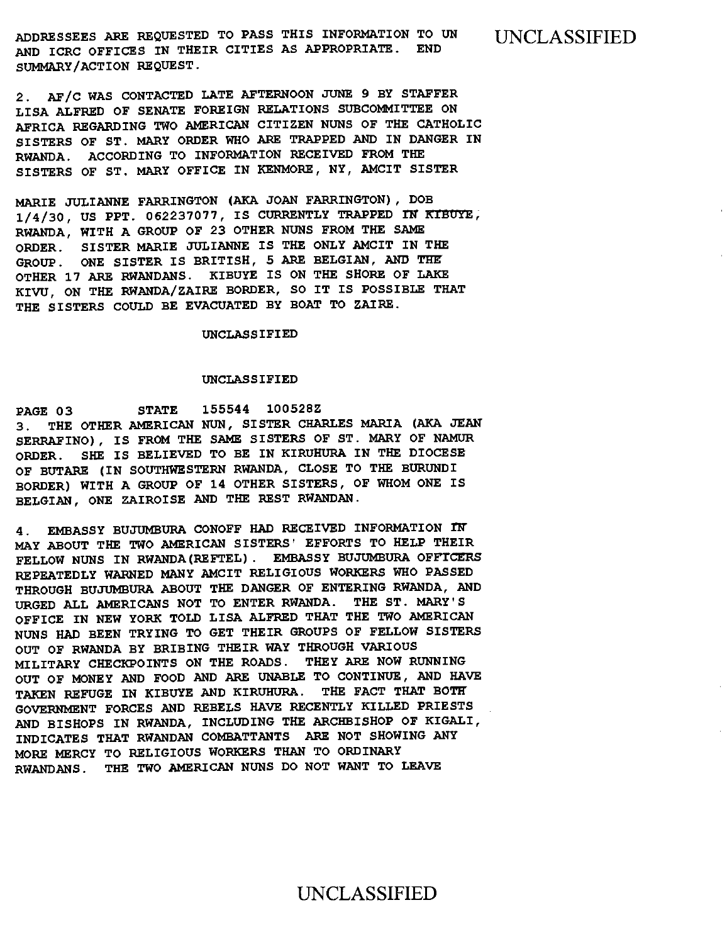ADDRESSEES ARE REQUESTED TO PASS THIS INFORMATION TO UN UNCLASSIFIED AND ICRC OFFICES IN THEIR CITIES AS APPROPRIATE. END SUMMARY/ACTION REQUEST.

2. AF/C WAS CONTACTED LATE AFTERNOON JUNE 9 BY STAFFER LISA ALFRED OF SENATE FOREIGN RELATIONS SUBCOMMITTEE ON AFRICA REGARDING TWO AMERICAN CITIZEN NUNS OF THE CATHOLIC SISTERS OF ST. MARY ORDER WHO ARE TRAPPED AND IN DANGER IN RWANDA. ACCORDING TO INFORMATION RECEIVED FROM THE SISTERS OF ST. MARY OFFICE IN KENMORE, NY, AMCIT SISTER

MARIE JULIANNE FARRINGTON (AKA JOAN FARRINGTON), DOB 1/4/30, US PPT. 062237077, IS CURRENTLY TRAPPED IN RIBuyE, RWANDA, WITH A GROUP OF 23 OTHER NUNS FROM THE SAME ORDER. SISTER MARIE JULIANNE IS THE ONLY AMCIT IN THE GROUP. ONE SISTER IS BRITISH, 5 ARE BELGIAN, AND THE OTHER 17 ARE RWANDANS. KIBUYE IS ON THE SHORE OF LAKE KIVU, ON THE RWANDA/ZAIRE BORDER, SO IT IS POSSIBLE THAT THE SISTERS COULD BE EVACUATED BY BOAT TO ZAIRE.

UNCLASSIFIED

#### UNCLASSIFIED

PAGE 03 STATE 155544 100528Z 3. THE OTHER AMERICAN NUN, SISTER CHARLES MARIA (AKA JEAN SERRAFINO), IS FROM THE SAME SISTERS OF ST. MARY OF NAMUR ORDER. SHE IS BELIEVED TO BE IN KIRUHURA IN THE DIOCESE OF BUTARE (IN SOUTHWESTERN RWANDA, CLOSE TO THE BURUNDI BORDER) WITH A GROUP OF 14 OTHER SISTERS, OF WHOM ONE IS BELGIAN, ONE ZAIROISE AND THE REST RWANDAN.

4. EMBASSY BUJUMBURA CONOFF HAD RECEIVED INFORMATION IN MAY ABOUT THE TWO AMERICAN SISTERS' EFFORTS TO HELP THEIR FELLOW NUNS IN RWANDA(REFTEL). EMBASSY BUJUMBURA OFFICERS REPEATEDLY WARNED MANY AMCIT RELIGIOUS WORKERS WHO PASSED THROUGH BUJUMBURA ABOUT THE DANGER OF ENTERING RWANDA, AND URGED ALL AMERICANS NOT TO ENTER RWANDA. THE ST. MARY'S OFFICE IN NEW YORK TOLD LISA ALFRED THAT THE TWO AMERICAN NUNS HAD BEEN TRYING TO GET THEIR GROUPS OF FELLOW SISTERS OUT OF RWANDA BY BRIBING THEIR WAY THROUGH VARIOUS MILITARY CHECKPOINTS ON THE ROADS. THEY ARE NOW RUNNING OUT OF MONEY AND FOOD AND ARE UNABLE TO CONTINUE, AND HAVE TAKEN REFUGE IN KIBUYE AND KIRUHURA. THE FACT THAT BOTH' GOVERNMENT FORCES AND REBELS HAVE RECENTLY KILLED PRIESTS AND BISHOPS IN RWANDA, INCLUDING THE ARCHBISHOP OF KIGALI, INDICATES THAT RWANDAN COMBATTANTS ARE NOT SHOWING ANY MORE MERCY TO RELIGIOUS WORKERS THAN TO ORDINARY RWANDANS. THE TWO AMERICAN NUNS DO NOT WANT TO LEAVE

### UNCLASSIFIED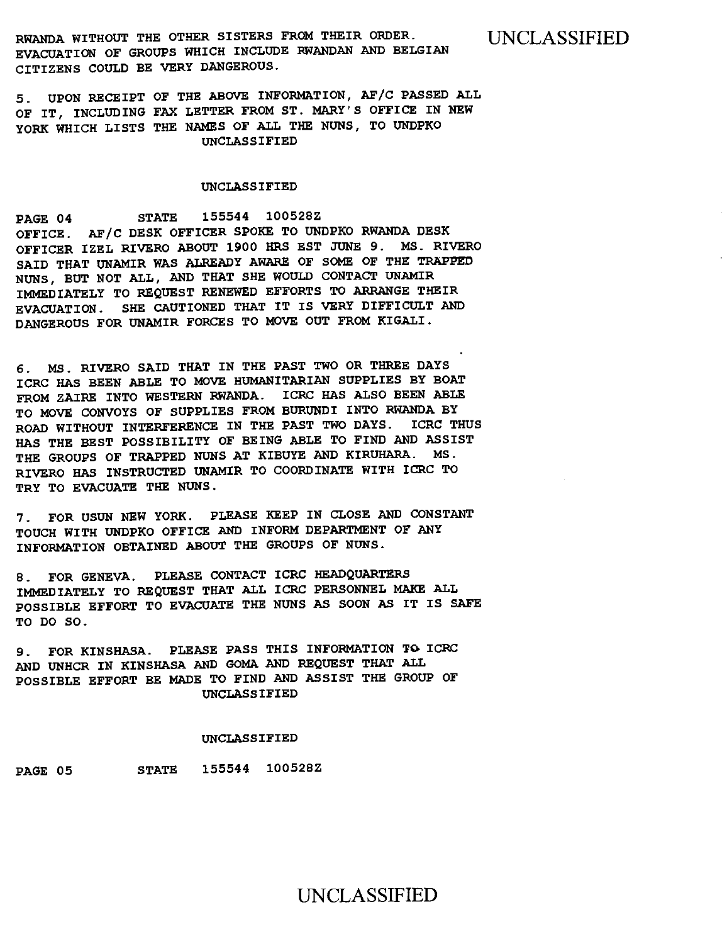**RWANDA WITHOUT THE OTHER SISTERS FROM THEIR ORDER. EVACUATION OF GROUPS WHICH INCLUDE RWANDAN AND BELGIAN CITIZENS COULD BE VERY DANGEROUS.** 

UNCLASSIFIED

**5. UPON RECEIPT OF THE ABOVE INFORMATION, AF/C PASSED ALL OF IT, INCLUDING FAX LETTER FROM ST. MARY'S OFFICE IN NEW YORK WHICH LISTS THE NAMES OF ALL THE NUNS, TO UNDPKO UNCLASSIFIED** 

#### **UNCLASSIFIED**

**PAGE 04 STATE 155544 100528Z OFFICE. AF/C DESK OFFICER SPOKE TO UNDPKO RWANDA DESK OFFICER IZEL RIVERO ABOUT 1900 HRS EST JUNE 9. MS. RIVERO SAID THAT UNAMIR WAS ALREADY AWARE OF SOME OF THE TRAPPED NUNS, BUT NOT ALL, AND THAT SHE WOULD CONTACT UNAMIR IMMEDIATELY TO REQUEST RENEWED EFFORTS TO ARRANGE THEIR EVACUATION. SHE CAUTIONED THAT IT IS VERY DIFFICULT AND DANGEROUS FOR UNAMIR FORCES TO MOVE OUT FROM KIGALI.** 

**6. MS. RIVERO SAID THAT IN THE PAST TWO OR THREE DAYS ICRC HAS BEEN ABLE TO MOVE HUMANITARIAN SUPPLIES BY BOAT FROM ZAIRE INTO WESTERN RWANDA. ICRC HAS ALSO BEEN ABLE TO MOVE CONVOYS OF SUPPLIES FROM BURUNDI INTO RWANDA BY ROAD WITHOUT INTERFERENCE IN THE PAST TWO DAYS. ICRC THUS HAS THE BEST POSSIBILITY OF BEING ABLE TO FIND AND ASSIST THE GROUPS OF TRAPPED NUNS AT KIBUYE AND KIRUHARA. MS . RIVERO** HAS **INSTRUCTED UNAMIR TO COORDINATE WITH ICRC TO TRY TO EVACUATE THE NUNS.** 

**7. FOR USUN NEW YORK. PLEASE KEEP IN CLOSE AND CONSTANT TOUCH WITH UNDPKO OFFICE AND INFORM DEPARTMENT OF ANY INFORMATION OBTAINED ABOUT THE GROUPS OF NUNS.** 

**8. FOR GENEVA. PLEASE CONTACT ICRC HEADQUARTERS**  IMMEDIATELY TO REQUEST THAT ALL ICRC PERSONNEL MAKE ALL **POSSIBLE EFFORT TO EVACUATE THE NUNS AS SOON** AS **IT IS SAFE TO DO SO.** 

**9. FOR KINSHASA. PLEASE PASS THIS INFORMATION TO. ICRC AND UNHCR IN KINSHASA AND GOMA AND REQUEST THAT ALL POSSIBLE EFFORT BE MADE TO FIND AND ASSIST THE GROUP OF UNCLASSIFIED** 

#### **UNCLASSIFIED**

**PAGE 05 STATE 155544 100528Z** 

## UNCLASSIFIED